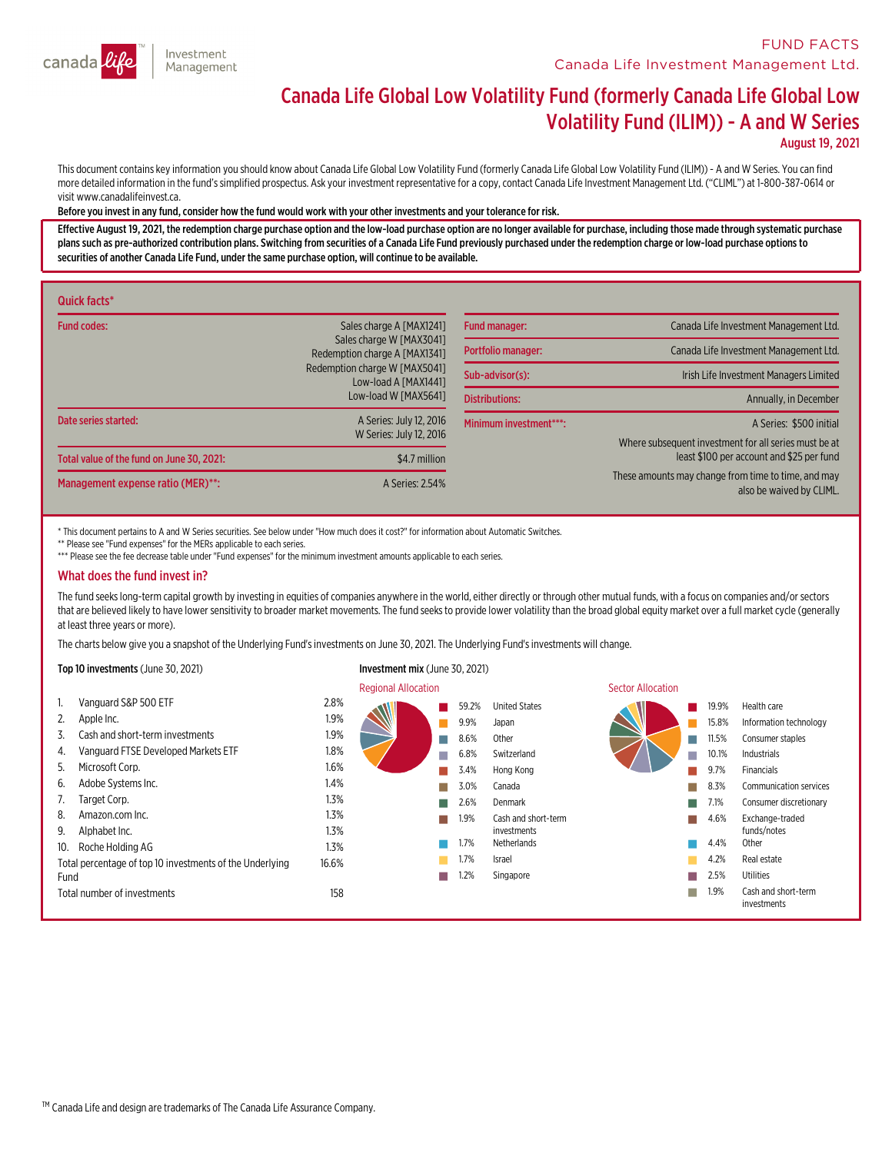

### **FUND FACTS Canada Life Investment Management Ltd.**

# Canada Life Global Low Volatility Fund (formerly Canada Life Global Low Volatility Fund (ILIM)) - <sup>A</sup> and <sup>W</sup> Series

August 19, 2021

This document contains key information you should know about Canada Life Global Low Volatility Fund (formerly Canada Life Global Low Volatility Fund (ILIM)) - A and W Series. You can find<br>more detailed information in the f

#### Before you invest in any fund,consider how the fund would work with your other investments and your tolerance for risk.

Effective August 19, 2021, the redemption charge purchase option and the low-load purchase option are no longer available for purchase, including those made through systematic purchase<br>plans such as pre-authorized contribu securities of another Canada Life Fund, under the same purchase option, will continue to be available.

| Quick facts*                              |                                                           |                        |                                                                                 |
|-------------------------------------------|-----------------------------------------------------------|------------------------|---------------------------------------------------------------------------------|
| <b>Fund codes:</b>                        | Sales charge A [MAX1241]                                  | <b>Fund manager:</b>   | Canada Life Investment Management Ltd.                                          |
|                                           | Sales charge W [MAX3041]<br>Redemption charge A [MAX1341] | Portfolio manager:     | Canada Life Investment Management Ltd.                                          |
|                                           | Redemption charge W [MAX5041]<br>Low-load A [MAX1441]     | Sub-advisor(s):        | Irish Life Investment Managers Limited                                          |
|                                           | Low-load W [MAX5641]                                      | <b>Distributions:</b>  | Annually, in December                                                           |
| Date series started:                      | A Series: July 12, 2016                                   | Minimum investment***: | A Series: \$500 initial                                                         |
|                                           | W Series: July 12, 2016                                   |                        | Where subsequent investment for all series must be at                           |
| Total value of the fund on June 30, 2021: | \$4.7 million                                             |                        | least \$100 per account and \$25 per fund                                       |
| Management expense ratio (MER)**:         | A Series: 2.54%                                           |                        | These amounts may change from time to time, and may<br>also be waived by CLIML. |

\* This document pertains to A and W Series securities. See below under "How much does it cost?" for information about Automatic Switches.

\*\* Please see "Fund expenses" for the MERs applicable to each series.

\*\*\* Please see the fee decrease table under "Fund expenses" for the minimum investment amounts applicable to each series.

#### What does the fund invest in?

The fund seeks long-term capital growth by investing in equities of companies anywhere in the world, either directly or through other mutual funds, with a focus on companies and/or sectors that are believed likely to have lower sensitivity to broader market movements. The fund seeks to provide lower volatility than the broad global equity market over a full market cycle (generally at least three years or mor

The charts below give you a snapshot of the Underlying Fund's investments on June 30, 2021. The Underlying Fund's investments will change.

#### Top 10 investments (June 30, 2021) Investment mix (June 30, 2021)

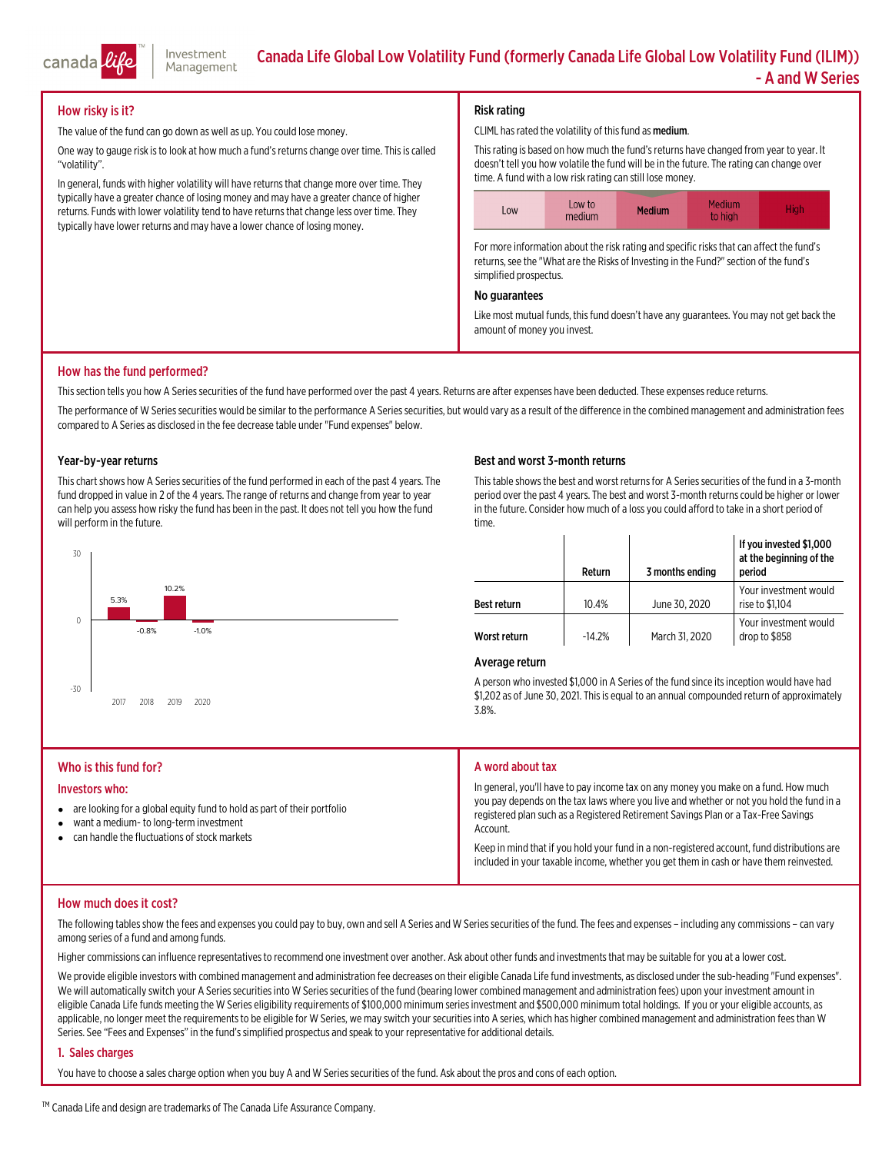

#### How risky is it?

The value of the fund can go down as well as up. You could lose money.

One way to gauge risk is to look at how much a fund's returns change over time. This is called "volatility".

In general, funds with higher volatility will have returns that change more over time. They typically have a greater chance of losing money and may have a greater chance of higher returns. Funds with lower volatility tend to have returns that change less over time. They typically have lower returns and may have a lower chance of losing money.

#### Risk rating

CLIML has rated the volatility of this fund as medium.

Thisrating is based on how much the fund'sreturns have changed fromyear to year. It doesn't tell you how volatile the fund will be in the future. The rating can change over time. A fund with a low risk rating can still lose money.



For more information about the risk rating and specific risks that can affect the fund's returns, see the "What are the Risks of Investing in the Fund?" section of the fund's simplified prospectus.

#### No guarantees

Like most mutual funds, this fund doesn't have any guarantees. You may not get back the amount of money you invest.

#### How has the fund performed?

This section tells you how A Series securities of the fund have performed over the past 4 years. Returns are after expenses have been deducted. These expenses reduce returns.

The performance of W Series securities would be similar to the performance A Series securities, but would vary as a result of the difference in the combined management and administration fees compared to A Series as disclosed in the fee decrease table under "Fund expenses" below.

#### Year-by-year returns

This chart shows how A Series securities of the fund performed in each of the past 4 years. The fund dropped in value in 2 of the 4 years. The range of returns and change fromyear to year can help you assess how risky the fund has been in the past. It does not tell you how the fund<br>will perform in the future.



#### Best and worst 3-month returns

This table shows the best and worst returns for A Series securities of the fund in a 3-month period over the past 4 years. The best and worst 3-month returns could be higher or lower in the future. Consider how much of a loss you could afford to take in a short period of time.

|                    | Return   | 3 months ending | If you invested \$1,000<br>at the beginning of the<br>period |
|--------------------|----------|-----------------|--------------------------------------------------------------|
| <b>Best return</b> | 10.4%    | June 30, 2020   | Your investment would<br>rise to \$1.104                     |
| Worst return       | $-14.2%$ | March 31, 2020  | Your investment would<br>drop to \$858                       |

#### Average return

A person who invested \$1,000 in A Series of the fund since its inception would have had<br>\$1,202 as of June 30, 2021. This is equal to an annual compounded return of approximately<br>3.8%.

#### Who is this fund for? Investors who:  $\bullet$  are looking for a global equity fund to hold as part of their portfolio  $\bullet$  want a medium- to long-terminvestment  $\bullet$  can handle the fluctuations of stockmarkets A word about tax In general, you'll have to pay income tax on any money you make on <sup>a</sup> fund. How much you pay depends on the tax laws where you live and whether or not you hold the fund in <sup>a</sup> registered plan such as a Registered Retirement Savings Plan or a Tax-Free Savings<br>Account. Keep in mind that if you hold your fund in a non-registered account, fund distributions are included in your taxable income, whether you get themin cash or have themreinvested.

#### How much does it cost?

The following tables show the fees and expenses you could pay to buy, own and sell A Series and W Series securities of the fund. The fees and expenses – including any commissions – can vary<br>among series of a fund and among

Higher commissionscan influence representativesto recommend one investment over another. Ask about other funds and investmentsthatmay be suitable for you at a lower cost.

We provide eligible investors with combined management and administration fee decreases on their eligible Canada Life fund investments, as disclosed under the sub-heading "Fund expenses".<br>We will automatically switch your

#### 1. Sales charges

You have to choose a sales charge option when you buy A and W Series securities of the fund. Ask about the pros and cons of each option.

™ Canada Life and design are trademarks of The Canada Life Assurance Company.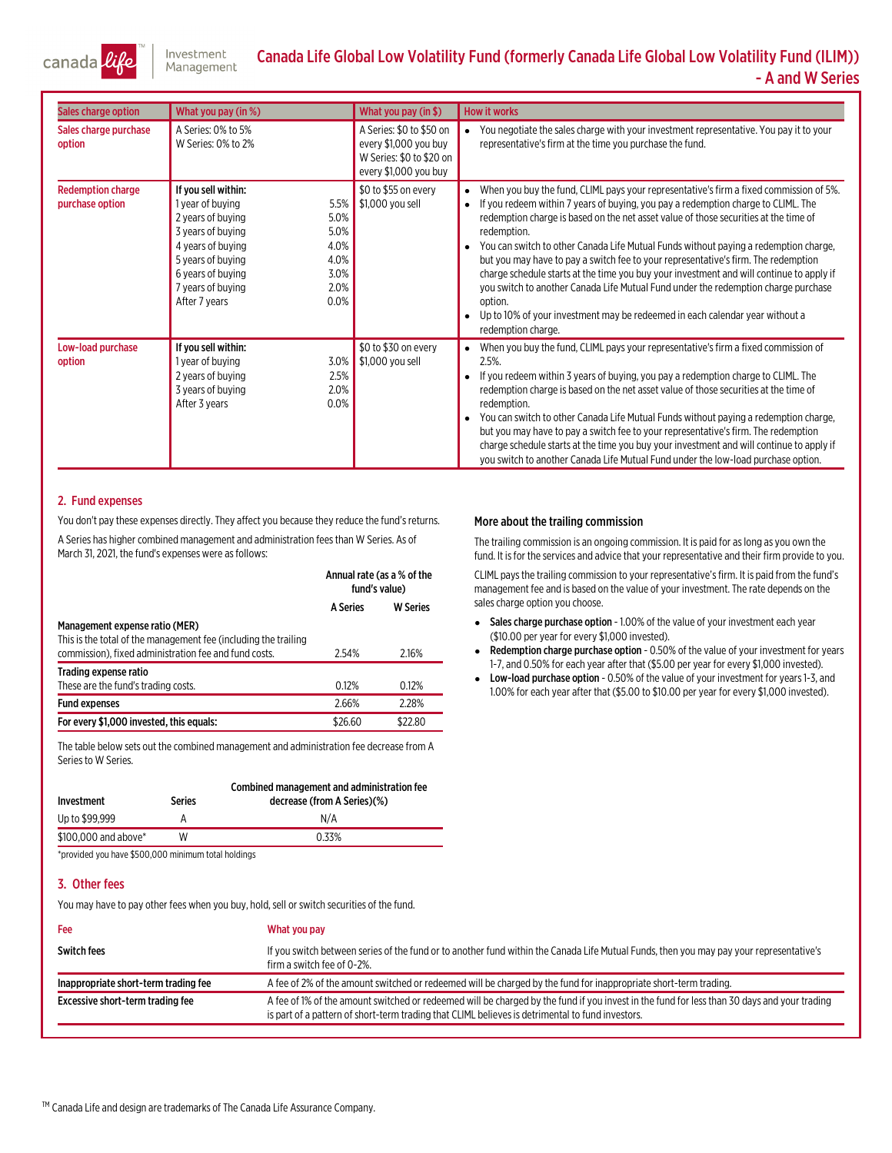

## Canada Life Global Low Volatility Fund (formerly Canada Life Global Low Volatility Fund (ILIM)) - A and W Series

| Sales charge option                         | What you pay (in %)                                                                                                                                                                                                                                    | What you pay (in \$)                                                                                   | <b>How it works</b>                                                                                                                                                                                                                                                                                                                                                                                                                                                                                                                                                                                                                                                                                                                                                 |
|---------------------------------------------|--------------------------------------------------------------------------------------------------------------------------------------------------------------------------------------------------------------------------------------------------------|--------------------------------------------------------------------------------------------------------|---------------------------------------------------------------------------------------------------------------------------------------------------------------------------------------------------------------------------------------------------------------------------------------------------------------------------------------------------------------------------------------------------------------------------------------------------------------------------------------------------------------------------------------------------------------------------------------------------------------------------------------------------------------------------------------------------------------------------------------------------------------------|
| Sales charge purchase<br>option             | A Series: 0% to 5%<br>W Series: 0% to 2%                                                                                                                                                                                                               | A Series: \$0 to \$50 on<br>every \$1,000 you buy<br>W Series: \$0 to \$20 on<br>every \$1,000 you buy | You negotiate the sales charge with your investment representative. You pay it to your<br>representative's firm at the time you purchase the fund.                                                                                                                                                                                                                                                                                                                                                                                                                                                                                                                                                                                                                  |
| <b>Redemption charge</b><br>purchase option | If you sell within:<br>1 year of buying<br>5.5%<br>5.0%<br>2 years of buying<br>5.0%<br>3 years of buying<br>4.0%<br>4 years of buying<br>4.0%<br>5 years of buying<br>3.0%<br>6 years of buying<br>2.0%<br>7 years of buying<br>0.0%<br>After 7 years | \$0 to \$55 on every<br>\$1,000 you sell                                                               | When you buy the fund, CLIML pays your representative's firm a fixed commission of 5%.<br>If you redeem within 7 years of buying, you pay a redemption charge to CLIML. The<br>redemption charge is based on the net asset value of those securities at the time of<br>redemption.<br>You can switch to other Canada Life Mutual Funds without paying a redemption charge,<br>but you may have to pay a switch fee to your representative's firm. The redemption<br>charge schedule starts at the time you buy your investment and will continue to apply if<br>you switch to another Canada Life Mutual Fund under the redemption charge purchase<br>option.<br>Up to 10% of your investment may be redeemed in each calendar year without a<br>redemption charge. |
| Low-load purchase<br>option                 | If you sell within:<br>1 year of buying<br>3.0%<br>2.5%<br>2 years of buying<br>2.0%<br>3 years of buying<br>0.0%<br>After 3 years                                                                                                                     | \$0 to \$30 on every<br>\$1,000 you sell                                                               | When you buy the fund, CLIML pays your representative's firm a fixed commission of<br>2.5%<br>If you redeem within 3 years of buying, you pay a redemption charge to CLIML. The<br>redemption charge is based on the net asset value of those securities at the time of<br>redemption.<br>You can switch to other Canada Life Mutual Funds without paying a redemption charge,<br>but you may have to pay a switch fee to your representative's firm. The redemption<br>charge schedule starts at the time you buy your investment and will continue to apply if<br>you switch to another Canada Life Mutual Fund under the low-load purchase option.                                                                                                               |

#### 2. Fund expenses

You don't pay these expenses directly. They affect you because they reduce the fund's returns. A Series has higher combined management and administration fees than W Series. As of March 31, 2021, the fund's expenses were as follows:

|                                                                                                                                                            | Annual rate (as a % of the<br>fund's value) |                 |
|------------------------------------------------------------------------------------------------------------------------------------------------------------|---------------------------------------------|-----------------|
|                                                                                                                                                            | <b>A Series</b>                             | <b>W</b> Series |
| Management expense ratio (MER)<br>This is the total of the management fee (including the trailing<br>commission), fixed administration fee and fund costs. | 2.54%                                       | 2.16%           |
| Trading expense ratio<br>These are the fund's trading costs.                                                                                               | 0.12%                                       | 0.12%           |
| <b>Fund expenses</b>                                                                                                                                       | 2.66%                                       | 2.28%           |
| For every \$1,000 invested, this equals:                                                                                                                   | \$26.60                                     | \$22.80         |

The table below sets out the combined management and administration fee decrease from A Seriesto W Series.

| Investment           | Series | Combined management and administration fee<br>decrease (from A Series)(%) |
|----------------------|--------|---------------------------------------------------------------------------|
| Up to \$99,999       |        | N/A                                                                       |
| \$100,000 and above* | W      | 0.33%                                                                     |

\*provided you have \$500,000 minimum total holdings

#### 3. Other fees

You may have to pay other fees when you buy, hold, sell or switch securities of the fund.

| Fee                                  | What you pay                                                                                                                                                                                                                                    |
|--------------------------------------|-------------------------------------------------------------------------------------------------------------------------------------------------------------------------------------------------------------------------------------------------|
| <b>Switch fees</b>                   | If you switch between series of the fund or to another fund within the Canada Life Mutual Funds, then you may pay your representative's<br>firm a switch fee of 0-2%.                                                                           |
| Inappropriate short-term trading fee | A fee of 2% of the amount switched or redeemed will be charged by the fund for inappropriate short-term trading.                                                                                                                                |
| Excessive short-term trading fee     | A fee of 1% of the amount switched or redeemed will be charged by the fund if you invest in the fund for less than 30 days and your trading<br>is part of a pattern of short-term trading that CLIML believes is detrimental to fund investors. |

#### More about the trailing commission

The trailing commission is an ongoing commission. It is paid for aslong as you own the fund. It is for the services and advice that your representative and their firm provide to you.

CLIML paysthe trailing commission to your representative'sfirm. It is paid fromthe fund's management fee and is based on the value of your investment. The rate depends on the sales charge option you choose.

- Sales charge purchase option 1.00% of the value of your investment each year (\$10.00 per year for every \$1,000 invested).
- e Redemption charge purchase option - 0.50% of the value of your investment for years 1-7, and 0.50% for each year after that (\$5.00 per year for every \$1,000 invested).
- Low-load purchase option 0.50% of the value of your investment for years 1-3, and 1.00% for each year after that (\$5.00 to \$10.00 per year for every \$1,000 invested).